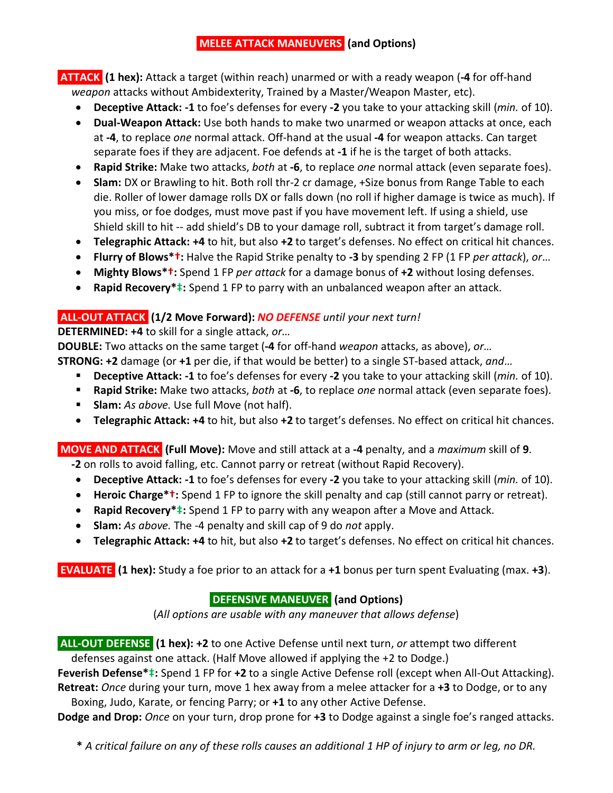## **MELEE ATTACK MANEUVERS (and Options)**

**ATTACK (1 hex):** Attack a target (within reach) unarmed or with a ready weapon (**-4** for off-hand *weapon* attacks without Ambidexterity, Trained by a Master/Weapon Master, etc).

- **Deceptive Attack: -1** to foe's defenses for every **-2** you take to your attacking skill (*min.* of 10).
- **Dual-Weapon Attack:** Use both hands to make two unarmed or weapon attacks at once, each at **-4**, to replace *one* normal attack. Off-hand at the usual **-4** for weapon attacks. Can target separate foes if they are adjacent. Foe defends at **-1** if he is the target of both attacks.
- **Rapid Strike:** Make two attacks, *both* at **-6**, to replace *one* normal attack (even separate foes).
- **Slam:** DX or Brawling to hit. Both roll thr-2 cr damage, +Size bonus from Range Table to each die. Roller of lower damage rolls DX or falls down (no roll if higher damage is twice as much). If you miss, or foe dodges, must move past if you have movement left. If using a shield, use Shield skill to hit -- add shield's DB to your damage roll, subtract it from target's damage roll.
- **Telegraphic Attack: +4** to hit, but also **+2** to target's defenses. No effect on critical hit chances.
- **Flurry of Blows\*†:** Halve the Rapid Strike penalty to **-3** by spending 2 FP (1 FP *per attack*), *or*…
- **Mighty Blows\*†:** Spend 1 FP *per attack* for a damage bonus of **+2** without losing defenses.
- **Rapid Recovery\*‡:** Spend 1 FP to parry with an unbalanced weapon after an attack.

## **ALL-OUT ATTACK (1/2 Move Forward):** *NO DEFENSE until your next turn!*

**DETERMINED: +4** to skill for a single attack, *or…*

**DOUBLE:** Two attacks on the same target (**-4** for off-hand *weapon* attacks, as above), *or…*

- **STRONG: +2** damage (or **+1** per die, if that would be better) to a single ST-based attack, *and*…
	- **Deceptive Attack: -1** to foe's defenses for every **-2** you take to your attacking skill (*min.* of 10).
	- **Rapid Strike:** Make two attacks, *both* at **-6**, to replace *one* normal attack (even separate foes).
	- **Slam:** *As above.* Use full Move (not half).
	- **Telegraphic Attack: +4** to hit, but also **+2** to target's defenses. No effect on critical hit chances.

**MOVE AND ATTACK (Full Move):** Move and still attack at a **-4** penalty, and a *maximum* skill of **9**. **-2** on rolls to avoid falling, etc. Cannot parry or retreat (without Rapid Recovery).

- **Deceptive Attack: -1** to foe's defenses for every **-2** you take to your attacking skill (*min.* of 10).
- **Heroic Charge\*†:** Spend 1 FP to ignore the skill penalty and cap (still cannot parry or retreat).
- **Rapid Recovery\*‡:** Spend 1 FP to parry with any weapon after a Move and Attack.
- **Slam:** *As above.* The -4 penalty and skill cap of 9 do *not* apply.
- **Telegraphic Attack: +4** to hit, but also **+2** to target's defenses. No effect on critical hit chances.

**EVALUATE (1 hex):** Study a foe prior to an attack for a **+1** bonus per turn spent Evaluating (max. **+3**).

# **DEFENSIVE MANEUVER (and Options)**

(*All options are usable with any maneuver that allows defense*)

**ALL-OUT DEFENSE (1 hex): +2** to one Active Defense until next turn, *or* attempt two different defenses against one attack. (Half Move allowed if applying the +2 to Dodge.)

**Feverish Defense\*‡:** Spend 1 FP for **+2** to a single Active Defense roll (except when All-Out Attacking). **Retreat:** *Once* during your turn, move 1 hex away from a melee attacker for a **+3** to Dodge, or to any

Boxing, Judo, Karate, or fencing Parry; or **+1** to any other Active Defense.

**Dodge and Drop:** *Once* on your turn, drop prone for **+3** to Dodge against a single foe's ranged attacks.

**\*** *A critical failure on any of these rolls causes an additional 1 HP of injury to arm or leg, no DR.*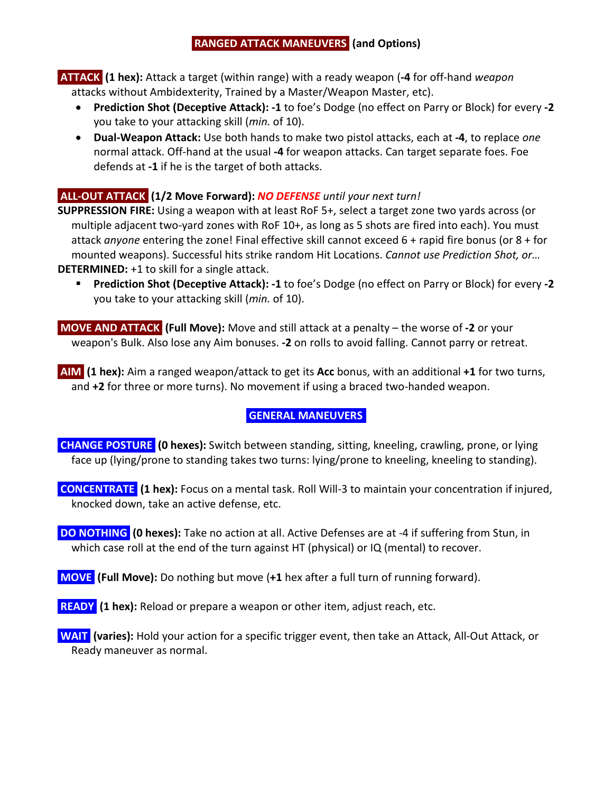## **RANGED ATTACK MANEUVERS (and Options)**

**ATTACK (1 hex):** Attack a target (within range) with a ready weapon (**-4** for off-hand *weapon* attacks without Ambidexterity, Trained by a Master/Weapon Master, etc).

- **Prediction Shot (Deceptive Attack): -1** to foe's Dodge (no effect on Parry or Block) for every **-2** you take to your attacking skill (*min.* of 10).
- **Dual-Weapon Attack:** Use both hands to make two pistol attacks, each at **-4**, to replace *one* normal attack. Off-hand at the usual **-4** for weapon attacks. Can target separate foes. Foe defends at **-1** if he is the target of both attacks.

## **ALL-OUT ATTACK (1/2 Move Forward):** *NO DEFENSE until your next turn!*

**SUPPRESSION FIRE:** Using a weapon with at least RoF 5+, select a target zone two yards across (or multiple adjacent two-yard zones with RoF 10+, as long as 5 shots are fired into each). You must attack *anyone* entering the zone! Final effective skill cannot exceed 6 + rapid fire bonus (or 8 + for mounted weapons). Successful hits strike random Hit Locations. *Cannot use Prediction Shot, or…* **DETERMINED:** +1 to skill for a single attack.

 **Prediction Shot (Deceptive Attack): -1** to foe's Dodge (no effect on Parry or Block) for every **-2** you take to your attacking skill (*min.* of 10).

**MOVE AND ATTACK (Full Move):** Move and still attack at a penalty – the worse of **-2** or your weapon's Bulk. Also lose any Aim bonuses. **-2** on rolls to avoid falling. Cannot parry or retreat.

**AIM (1 hex):** Aim a ranged weapon/attack to get its **Acc** bonus, with an additional **+1** for two turns, and **+2** for three or more turns). No movement if using a braced two-handed weapon.

## **GENERAL MANEUVERS.**

**CHANGE POSTURE (0 hexes):** Switch between standing, sitting, kneeling, crawling, prone, or lying face up (lying/prone to standing takes two turns: lying/prone to kneeling, kneeling to standing).

**CONCENTRATE (1 hex):** Focus on a mental task. Roll Will-3 to maintain your concentration if injured, knocked down, take an active defense, etc.

**DO NOTHING (0 hexes):** Take no action at all. Active Defenses are at -4 if suffering from Stun, in which case roll at the end of the turn against HT (physical) or IQ (mental) to recover.

**MOVE (Full Move):** Do nothing but move (**+1** hex after a full turn of running forward).

**READY (1 hex):** Reload or prepare a weapon or other item, adjust reach, etc.

**WAIT (varies):** Hold your action for a specific trigger event, then take an Attack, All-Out Attack, or Ready maneuver as normal.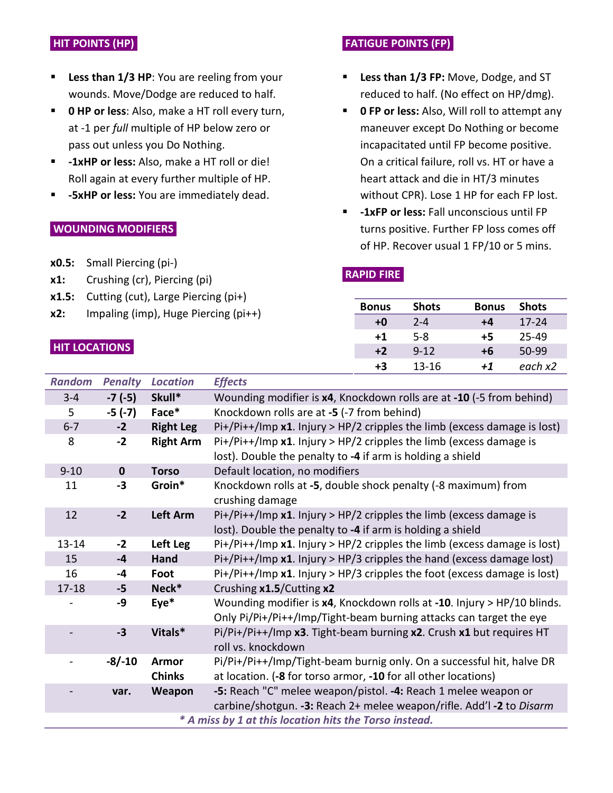### **HIT POINTS (HP).**

- **Less than 1/3 HP:** You are reeling from your wounds. Move/Dodge are reduced to half.
- **0 HP or less**: Also, make a HT roll every turn, at -1 per *full* multiple of HP below zero or pass out unless you Do Nothing.
- **-1xHP or less:** Also, make a HT roll or die! Roll again at every further multiple of HP.
- **-5xHP or less:** You are immediately dead.

### **WOUNDING MODIFIERS.**

- **x0.5:** Small Piercing (pi-)
- **x1:** Crushing (cr), Piercing (pi)
- **x1.5:** Cutting (cut), Large Piercing (pi+)
- **x2:** Impaling (imp), Huge Piercing (pi++)

### **HIT LOCATIONS.**

## **FATIGUE POINTS (FP).**

- **Less than 1/3 FP:** Move, Dodge, and ST reduced to half. (No effect on HP/dmg).
- **0 FP or less:** Also, Will roll to attempt any maneuver except Do Nothing or become incapacitated until FP become positive. On a critical failure, roll vs. HT or have a heart attack and die in HT/3 minutes without CPR). Lose 1 HP for each FP lost.
- **-1xFP or less:** Fall unconscious until FP turns positive. Further FP loss comes off of HP. Recover usual 1 FP/10 or 5 mins.

#### $\ddot{x}$ **RAPID FIRE.**

| <b>Bonus</b> | <b>Shots</b> | <b>Bonus</b> | <b>Shots</b> |
|--------------|--------------|--------------|--------------|
| +0           | $2 - 4$      | $+4$         | $17 - 24$    |
| $+1$         | $5-8$        | +5           | 25-49        |
| $+2$         | $9 - 12$     | +6           | 50-99        |
| +3           | 13-16        | +1           | each x2      |

| <b>Random</b>                                          | <b>Penalty</b> | <b>Location</b>               | <b>Effects</b>                                                                                                                                |  |
|--------------------------------------------------------|----------------|-------------------------------|-----------------------------------------------------------------------------------------------------------------------------------------------|--|
| $3 - 4$                                                | $-7(-5)$       | Skull*                        | Wounding modifier is x4, Knockdown rolls are at -10 (-5 from behind)                                                                          |  |
| 5                                                      | $-5(-7)$       | Face*                         | Knockdown rolls are at -5 (-7 from behind)                                                                                                    |  |
| $6 - 7$                                                | $-2$           | <b>Right Leg</b>              | $Pi+/Pi++/Imp$ x1. Injury > HP/2 cripples the limb (excess damage is lost)                                                                    |  |
| 8                                                      | $-2$           | <b>Right Arm</b>              | Pi+/Pi++/Imp $x1$ . Injury > HP/2 cripples the limb (excess damage is<br>lost). Double the penalty to -4 if arm is holding a shield           |  |
| $9 - 10$                                               | $\mathbf 0$    | <b>Torso</b>                  | Default location, no modifiers                                                                                                                |  |
| 11                                                     | $-3$           | Groin*                        | Knockdown rolls at -5, double shock penalty (-8 maximum) from<br>crushing damage                                                              |  |
| 12                                                     | $-2$           | Left Arm                      | Pi+/Pi++/Imp $x1$ . Injury > HP/2 cripples the limb (excess damage is<br>lost). Double the penalty to -4 if arm is holding a shield           |  |
| $13 - 14$                                              | $-2$           | Left Leg                      | Pi+/Pi++/Imp x1. Injury > HP/2 cripples the limb (excess damage is lost)                                                                      |  |
| 15                                                     | $-4$           | Hand                          | $Pi+/Pi++/Imp$ x1. Injury > HP/3 cripples the hand (excess damage lost)                                                                       |  |
| 16                                                     | $-4$           | Foot                          | $Pi+/Pi++/Imp$ x1. Injury > HP/3 cripples the foot (excess damage is lost)                                                                    |  |
| $17 - 18$                                              | $-5$           | Neck*                         | Crushing x1.5/Cutting x2                                                                                                                      |  |
|                                                        | -9             | $Eye*$                        | Wounding modifier is x4, Knockdown rolls at -10. Injury > HP/10 blinds.<br>Only Pi/Pi+/Pi++/Imp/Tight-beam burning attacks can target the eye |  |
|                                                        | $-3$           | Vitals*                       | Pi/Pi+/Pi++/Imp x3. Tight-beam burning x2. Crush x1 but requires HT<br>roll vs. knockdown                                                     |  |
|                                                        | $-8/-10$       | <b>Armor</b><br><b>Chinks</b> | Pi/Pi+/Pi++/Imp/Tight-beam burnig only. On a successful hit, halve DR<br>at location. (-8 for torso armor, -10 for all other locations)       |  |
|                                                        | var.           | Weapon                        | -5: Reach "C" melee weapon/pistol. -4: Reach 1 melee weapon or<br>carbine/shotgun. - 3: Reach 2+ melee weapon/rifle. Add'l -2 to Disarm       |  |
| * A miss by 1 at this location hits the Torso instead. |                |                               |                                                                                                                                               |  |